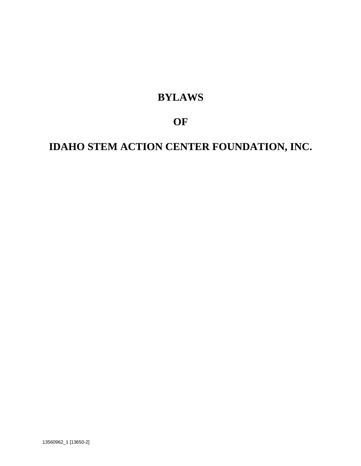# **BYLAWS**

# **OF**

# **IDAHO STEM ACTION CENTER FOUNDATION, INC.**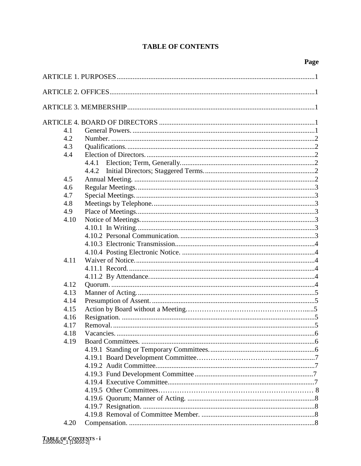# **TABLE OF CONTENTS**

| 4.1  |           |  |
|------|-----------|--|
| 4.2  |           |  |
| 4.3  |           |  |
| 4.4  |           |  |
|      |           |  |
|      |           |  |
| 4.5  |           |  |
| 4.6  |           |  |
| 4.7  |           |  |
| 4.8  |           |  |
| 4.9  |           |  |
| 4.10 |           |  |
|      |           |  |
|      |           |  |
|      |           |  |
|      |           |  |
| 4.11 |           |  |
|      |           |  |
|      |           |  |
| 4.12 |           |  |
| 4.13 |           |  |
| 4.14 |           |  |
| 4.15 |           |  |
| 4.16 |           |  |
| 4.17 |           |  |
| 4.18 | Vacancies |  |
| 4.19 |           |  |
|      |           |  |
|      |           |  |
|      |           |  |
|      |           |  |
|      |           |  |
|      |           |  |
|      |           |  |
|      |           |  |
|      |           |  |
| 4.20 |           |  |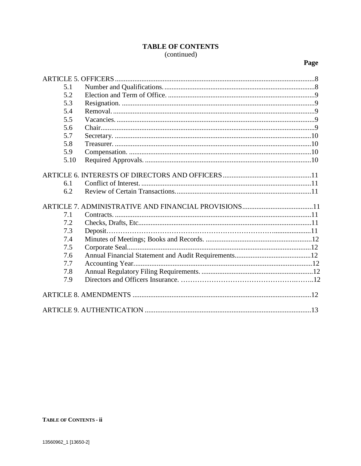# TABLE OF CONTENTS (continued)

| 5.1  |  |
|------|--|
| 5.2  |  |
| 5.3  |  |
| 5.4  |  |
| 5.5  |  |
| 5.6  |  |
| 5.7  |  |
| 5.8  |  |
| 5.9  |  |
| 5.10 |  |
|      |  |
|      |  |
| 6.1  |  |
| 6.2  |  |
|      |  |
| 7.1  |  |
| 7.2  |  |
| 7.3  |  |
| 7.4  |  |
| 7.5  |  |
| 7.6  |  |
| 7.7  |  |
| 7.8  |  |
| 7.9  |  |
|      |  |
|      |  |
|      |  |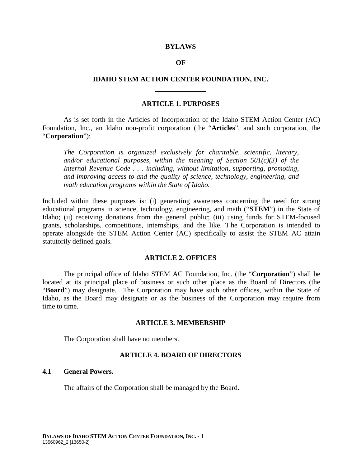#### **BYLAWS**

#### **OF**

#### **IDAHO STEM ACTION CENTER FOUNDATION, INC.**

#### **ARTICLE 1. PURPOSES**

As is set forth in the Articles of Incorporation of the Idaho STEM Action Center (AC) Foundation, Inc., an Idaho non-profit corporation (the "**Articles**", and such corporation, the "**Corporation**"):

*The Corporation is organized exclusively for charitable, scientific, literary, and/or educational purposes, within the meaning of Section 501(c)(3) of the Internal Revenue Code . . . including, without limitation, supporting, promoting, and improving access to and the quality of science, technology, engineering, and math education programs within the State of Idaho.*

Included within these purposes is: (i) generating awareness concerning the need for strong educational programs in science, technology, engineering, and math ("**STEM**") in the State of Idaho; (ii) receiving donations from the general public; (iii) using funds for STEM-focused grants, scholarships, competitions, internships, and the like. T he Corporation is intended to operate alongside the STEM Action Center (AC) specifically to assist the STEM AC attain statutorily defined goals.

#### **ARTICLE 2. OFFICES**

The principal office of Idaho STEM AC Foundation, Inc. (the "**Corporation**") shall be located at its principal place of business or such other place as the Board of Directors (the "**Board**") may designate. The Corporation may have such other offices, within the State of Idaho, as the Board may designate or as the business of the Corporation may require from time to time.

#### **ARTICLE 3. MEMBERSHIP**

The Corporation shall have no members.

#### **ARTICLE 4. BOARD OF DIRECTORS**

#### **4.1 General Powers.**

The affairs of the Corporation shall be managed by the Board.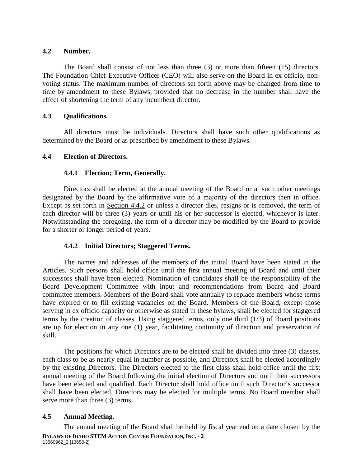#### **4.2 Number.**

The Board shall consist of not less than three (3) or more than fifteen (15) directors. The Foundation Chief Executive Officer (CEO) will also serve on the Board in ex officio, nonvoting status. The maximum number of directors set forth above may be changed from time to time by amendment to these Bylaws, provided that no decrease in the number shall have the effect of shortening the term of any incumbent director.

## **4.3 Qualifications.**

All directors must be individuals. Directors shall have such other qualifications as determined by the Board or as prescribed by amendment to these Bylaws.

## **4.4 Election of Directors.**

## **4.4.1 Election; Term, Generally.**

Directors shall be elected at the annual meeting of the Board or at such other meetings designated by the Board by the affirmative vote of a majority of the directors then in office. Except as set forth in Section 4.4.2 or unless a director dies, resigns or is removed, the term of each director will be three (3) years or until his or her successor is elected, whichever is later. Notwithstanding the foregoing, the term of a director may be modified by the Board to provide for a shorter or longer period of years.

# **4.4.2 Initial Directors; Staggered Terms.**

The names and addresses of the members of the initial Board have been stated in the Articles. Such persons shall hold office until the first annual meeting of Board and until their successors shall have been elected. Nomination of candidates shall be the responsibility of the Board Development Committee with input and recommendations from Board and Board committee members. Members of the Board shall vote annually to replace members whose terms have expired or to fill existing vacancies on the Board. Members of the Board, except those serving in ex officio capacity or otherwise as stated in these bylaws, shall be elected for staggered terms by the creation of classes. Using staggered terms, only one third (1/3) of Board positions are up for election in any one (1) year, facilitating continuity of direction and preservation of skill.

The positions for which Directors are to be elected shall be divided into three (3) classes, each class to be as nearly equal in number as possible, and Directors shall be elected accordingly by the existing Directors. The Directors elected to the first class shall hold office until the first annual meeting of the Board following the initial election of Directors and until their successors have been elected and qualified. Each Director shall hold office until such Director's successor shall have been elected. Directors may be elected for multiple terms. No Board member shall serve more than three  $(3)$  terms.

#### **4.5 Annual Meeting.**

**BYLAWS OF IDAHO STEM ACTION CENTER FOUNDATION, INC. - 2** 13560962\_2 [13650-2] The annual meeting of the Board shall be held by fiscal year end on a date chosen by the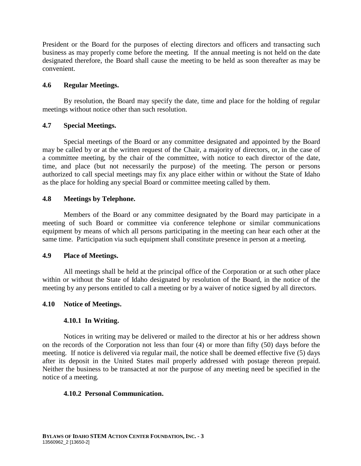President or the Board for the purposes of electing directors and officers and transacting such business as may properly come before the meeting. If the annual meeting is not held on the date designated therefore, the Board shall cause the meeting to be held as soon thereafter as may be convenient.

#### **4.6 Regular Meetings.**

By resolution, the Board may specify the date, time and place for the holding of regular meetings without notice other than such resolution.

#### **4.7 Special Meetings.**

Special meetings of the Board or any committee designated and appointed by the Board may be called by or at the written request of the Chair, a majority of directors, or, in the case of a committee meeting, by the chair of the committee, with notice to each director of the date, time, and place (but not necessarily the purpose) of the meeting. The person or persons authorized to call special meetings may fix any place either within or without the State of Idaho as the place for holding any special Board or committee meeting called by them.

#### **4.8 Meetings by Telephone.**

Members of the Board or any committee designated by the Board may participate in a meeting of such Board or committee via conference telephone or similar communications equipment by means of which all persons participating in the meeting can hear each other at the same time. Participation via such equipment shall constitute presence in person at a meeting.

#### **4.9 Place of Meetings.**

All meetings shall be held at the principal office of the Corporation or at such other place within or without the State of Idaho designated by resolution of the Board, in the notice of the meeting by any persons entitled to call a meeting or by a waiver of notice signed by all directors.

#### **4.10 Notice of Meetings.**

#### **4.10.1 In Writing.**

Notices in writing may be delivered or mailed to the director at his or her address shown on the records of the Corporation not less than four (4) or more than fifty (50) days before the meeting. If notice is delivered via regular mail, the notice shall be deemed effective five (5) days after its deposit in the United States mail properly addressed with postage thereon prepaid. Neither the business to be transacted at nor the purpose of any meeting need be specified in the notice of a meeting.

#### **4.10.2 Personal Communication.**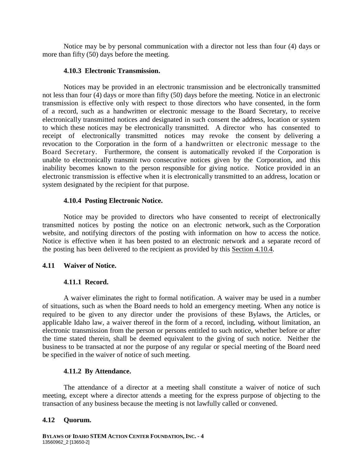Notice may be by personal communication with a director not less than four (4) days or more than fifty (50) days before the meeting.

#### **4.10.3 Electronic Transmission.**

Notices may be provided in an electronic transmission and be electronically transmitted not less than four (4) days or more than fifty (50) days before the meeting. Notice in an electronic transmission is effective only with respect to those directors who have consented, in the form of a record, such as a handwritten or electronic message to the Board Secretary, to receive electronically transmitted notices and designated in such consent the address, location or system to which these notices may be electronically transmitted. A director who has consented to receipt of electronically transmitted notices may revoke the consent by delivering a revocation to the Corporation in the form of a handwritten or electronic message to the Board Secretary. Furthermore, the consent is automatically revoked if the Corporation is unable to electronically transmit two consecutive notices given by the Corporation, and this inability becomes known to the person responsible for giving notice. Notice provided in an electronic transmission is effective when it is electronically transmitted to an address, location or system designated by the recipient for that purpose.

#### **4.10.4 Posting Electronic Notice.**

Notice may be provided to directors who have consented to receipt of electronically transmitted notices by posting the notice on an electronic network, such as the Corporation website, and notifying directors of the posting with information on how to access the notice. Notice is effective when it has been posted to an electronic network and a separate record of the posting has been delivered to the recipient as provided by this Section 4.10.4.

# **4.11 Waiver of Notice.**

#### **4.11.1 Record.**

A waiver eliminates the right to formal notification. A waiver may be used in a number of situations, such as when the Board needs to hold an emergency meeting. When any notice is required to be given to any director under the provisions of these Bylaws, the Articles, or applicable Idaho law, a waiver thereof in the form of a record, including, without limitation, an electronic transmission from the person or persons entitled to such notice, whether before or after the time stated therein, shall be deemed equivalent to the giving of such notice. Neither the business to be transacted at nor the purpose of any regular or special meeting of the Board need be specified in the waiver of notice of such meeting.

#### **4.11.2 By Attendance.**

The attendance of a director at a meeting shall constitute a waiver of notice of such meeting, except where a director attends a meeting for the express purpose of objecting to the transaction of any business because the meeting is not lawfully called or convened.

#### **4.12 Quorum.**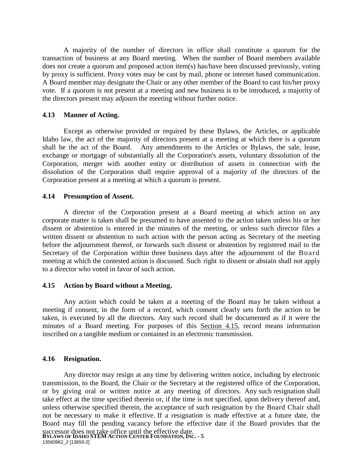A majority of the number of directors in office shall constitute a quorum for the transaction of business at any Board meeting. When the number of Board members available does not create a quorum and proposed action item(s) has/have been discussed previously, voting by proxy is sufficient. Proxy votes may be cast by mail, phone or internet based communication. A Board member may designate the Chair or any other member of the Board to cast his/her proxy vote. If a quorum is not present at a meeting and new business is to be introduced, a majority of the directors present may adjourn the meeting without further notice.

#### **4.13 Manner of Acting.**

Except as otherwise provided or required by these Bylaws, the Articles, or applicable Idaho law, the act of the majority of directors present at a meeting at which there is a quorum shall be the act of the Board. Any amendments to the Articles or Bylaws, the sale, lease, exchange or mortgage of substantially all the Corporation's assets, voluntary dissolution of the Corporation, merger with another entity or distribution of assets in connection with the dissolution of the Corporation shall require approval of a majority of the directors of the Corporation present at a meeting at which a quorum is present.

#### **4.14 Presumption of Assent.**

A director of the Corporation present at a Board meeting at which action on any corporate matter is taken shall be presumed to have assented to the action taken unless his or her dissent or abstention is entered in the minutes of the meeting, or unless such director files a written dissent or abstention to such action with the person acting as Secretary of the meeting before the adjournment thereof, or forwards such dissent or abstention by registered mail to the Secretary of the Corporation within three business days after the adjournment of the Board meeting at which the contested action is discussed. Such right to dissent or abstain shall not apply to a director who voted in favor of such action.

#### **4.15 Action by Board without a Meeting.**

Any action which could be taken at a meeting of the Board may be taken without a meeting if consent, in the form of a record, which consent clearly sets forth the action to be taken, is executed by all the directors. Any such record shall be documented as if it were the minutes of a Board meeting. For purposes of this Section 4.15, record means information inscribed on a tangible medium or contained in an electronic transmission.

# **4.16 Resignation.**

**BYLAWS OF IDAHO STEM ACTION CENTER FOUNDATION, INC. - 5** 13560962\_2 [13650-2] Any director may resign at any time by delivering written notice, including by electronic transmission, to the Board, the Chair or the Secretary at the registered office of the Corporation, or by giving oral or written notice at any meeting of directors. Any such resignation shall take effect at the time specified therein or, if the time is not specified, upon delivery thereof and, unless otherwise specified therein, the acceptance of such resignation by the Board Chair shall not be necessary to make it effective. If a resignation is made effective at a future date, the Board may fill the pending vacancy before the effective date if the Board provides that the successor does not take office until the effective date.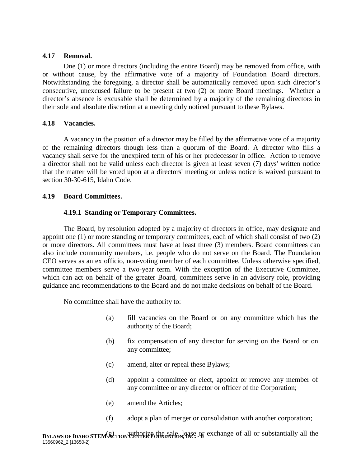#### **4.17 Removal.**

One (1) or more directors (including the entire Board) may be removed from office, with or without cause, by the affirmative vote of a majority of Foundation Board directors. Notwithstanding the foregoing, a director shall be automatically removed upon such director's consecutive, unexcused failure to be present at two (2) or more Board meetings. Whether a director's absence is excusable shall be determined by a majority of the remaining directors in their sole and absolute discretion at a meeting duly noticed pursuant to these Bylaws.

#### **4.18 Vacancies.**

A vacancy in the position of a director may be filled by the affirmative vote of a majority of the remaining directors though less than a quorum of the Board. A director who fills a vacancy shall serve for the unexpired term of his or her predecessor in office. Action to remove a director shall not be valid unless each director is given at least seven (7) days' written notice that the matter will be voted upon at a directors' meeting or unless notice is waived pursuant to section 30-30-615, Idaho Code.

## **4.19 Board Committees.**

## **4.19.1 Standing or Temporary Committees.**

The Board, by resolution adopted by a majority of directors in office, may designate and appoint one (1) or more standing or temporary committees, each of which shall consist of two (2) or more directors. All committees must have at least three (3) members. Board committees can also include community members, i.e. people who do not serve on the Board. The Foundation CEO serves as an ex officio, non-voting member of each committee. Unless otherwise specified, committee members serve a two-year term. With the exception of the Executive Committee, which can act on behalf of the greater Board, committees serve in an advisory role, providing guidance and recommendations to the Board and do not make decisions on behalf of the Board.

No committee shall have the authority to:

- (a) fill vacancies on the Board or on any committee which has the authority of the Board;
- (b) fix compensation of any director for serving on the Board or on any committee;
- (c) amend, alter or repeal these Bylaws;
- (d) appoint a committee or elect, appoint or remove any member of any committee or any director or officer of the Corporation;
- (e) amend the Articles;
- (f) adopt a plan of merger or consolidation with another corporation;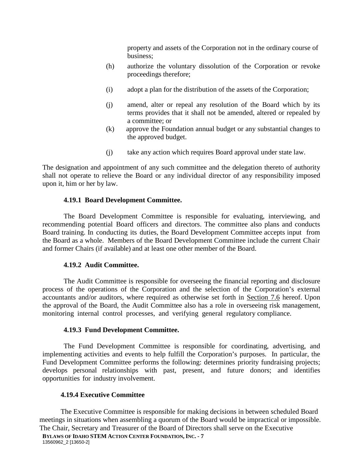property and assets of the Corporation not in the ordinary course of business;

- (h) authorize the voluntary dissolution of the Corporation or revoke proceedings therefore;
- (i) adopt a plan for the distribution of the assets of the Corporation;
- (j) amend, alter or repeal any resolution of the Board which by its terms provides that it shall not be amended, altered or repealed by a committee; or
- (k) approve the Foundation annual budget or any substantial changes to the approved budget.
- (j) take any action which requires Board approval under state law.

The designation and appointment of any such committee and the delegation thereto of authority shall not operate to relieve the Board or any individual director of any responsibility imposed upon it, him or her by law.

#### **4.19.1 Board Development Committee.**

The Board Development Committee is responsible for evaluating, interviewing, and recommending potential Board officers and directors. The committee also plans and conducts Board training. In conducting its duties, the Board Development Committee accepts input from the Board as a whole. Members of the Board Development Committee include the current Chair and former Chairs (if available) and at least one other member of the Board.

#### **4.19.2 Audit Committee.**

The Audit Committee is responsible for overseeing the financial reporting and disclosure process of the operations of the Corporation and the selection of the Corporation's external accountants and/or auditors, where required as otherwise set forth in Section 7.6 hereof. Upon the approval of the Board, the Audit Committee also has a role in overseeing risk management, monitoring internal control processes, and verifying general regulatory compliance.

#### **4.19.3 Fund Development Committee.**

The Fund Development Committee is responsible for coordinating, advertising, and implementing activities and events to help fulfill the Corporation's purposes. In particular, the Fund Development Committee performs the following: determines priority fundraising projects; develops personal relationships with past, present, and future donors; and identifies opportunities for industry involvement.

#### **4.19.4 Executive Committee**

The Executive Committee is responsible for making decisions in between scheduled Board meetings in situations when assembling a quorum of the Board would be impractical or impossible. The Chair, Secretary and Treasurer of the Board of Directors shall serve on the Executive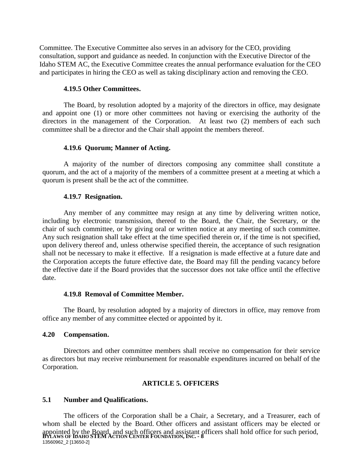Committee. The Executive Committee also serves in an advisory for the CEO, providing consultation, support and guidance as needed. In conjunction with the Executive Director of the Idaho STEM AC, the Executive Committee creates the annual performance evaluation for the CEO and participates in hiring the CEO as well as taking disciplinary action and removing the CEO.

#### **4.19.5 Other Committees.**

The Board, by resolution adopted by a majority of the directors in office, may designate and appoint one (1) or more other committees not having or exercising the authority of the directors in the management of the Corporation. At least two (2) members of each such committee shall be a director and the Chair shall appoint the members thereof.

#### **4.19.6 Quorum; Manner of Acting.**

A majority of the number of directors composing any committee shall constitute a quorum, and the act of a majority of the members of a committee present at a meeting at which a quorum is present shall be the act of the committee.

#### **4.19.7 Resignation.**

Any member of any committee may resign at any time by delivering written notice, including by electronic transmission, thereof to the Board, the Chair, the Secretary, or the chair of such committee, or by giving oral or written notice at any meeting of such committee. Any such resignation shall take effect at the time specified therein or, if the time is not specified, upon delivery thereof and, unless otherwise specified therein, the acceptance of such resignation shall not be necessary to make it effective. If a resignation is made effective at a future date and the Corporation accepts the future effective date, the Board may fill the pending vacancy before the effective date if the Board provides that the successor does not take office until the effective date.

#### **4.19.8 Removal of Committee Member.**

The Board, by resolution adopted by a majority of directors in office, may remove from office any member of any committee elected or appointed by it.

#### **4.20 Compensation.**

Directors and other committee members shall receive no compensation for their service as directors but may receive reimbursement for reasonable expenditures incurred on behalf of the Corporation.

# **ARTICLE 5. OFFICERS**

# **5.1 Number and Qualifications.**

**BYLAWS OF IDAHO STEM ACTION CENTER FOUNDATION, INC. - 8** 13560962\_2 [13650-2] The officers of the Corporation shall be a Chair, a Secretary, and a Treasurer, each of whom shall be elected by the Board. Other officers and assistant officers may be elected or appointed by the Board, and such officers and assistant officers shall hold office for such period,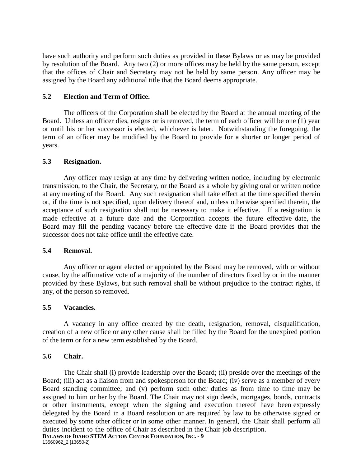have such authority and perform such duties as provided in these Bylaws or as may be provided by resolution of the Board. Any two (2) or more offices may be held by the same person, except that the offices of Chair and Secretary may not be held by same person. Any officer may be assigned by the Board any additional title that the Board deems appropriate.

### **5.2 Election and Term of Office.**

The officers of the Corporation shall be elected by the Board at the annual meeting of the Board. Unless an officer dies, resigns or is removed, the term of each officer will be one (1) year or until his or her successor is elected, whichever is later. Notwithstanding the foregoing, the term of an officer may be modified by the Board to provide for a shorter or longer period of years.

#### **5.3 Resignation.**

Any officer may resign at any time by delivering written notice, including by electronic transmission, to the Chair, the Secretary, or the Board as a whole by giving oral or written notice at any meeting of the Board. Any such resignation shall take effect at the time specified therein or, if the time is not specified, upon delivery thereof and, unless otherwise specified therein, the acceptance of such resignation shall not be necessary to make it effective. If a resignation is made effective at a future date and the Corporation accepts the future effective date, the Board may fill the pending vacancy before the effective date if the Board provides that the successor does not take office until the effective date.

#### **5.4 Removal.**

Any officer or agent elected or appointed by the Board may be removed, with or without cause, by the affirmative vote of a majority of the number of directors fixed by or in the manner provided by these Bylaws, but such removal shall be without prejudice to the contract rights, if any, of the person so removed.

#### **5.5 Vacancies.**

A vacancy in any office created by the death, resignation, removal, disqualification, creation of a new office or any other cause shall be filled by the Board for the unexpired portion of the term or for a new term established by the Board.

#### **5.6 Chair.**

**BYLAWS OF IDAHO STEM ACTION CENTER FOUNDATION, INC. - 9** 13560962\_2 [13650-2] The Chair shall (i) provide leadership over the Board; (ii) preside over the meetings of the Board; (iii) act as a liaison from and spokesperson for the Board; (iv) serve as a member of every Board standing committee; and (v) perform such other duties as from time to time may be assigned to him or her by the Board. The Chair may not sign deeds, mortgages, bonds, contracts or other instruments, except when the signing and execution thereof have been expressly delegated by the Board in a Board resolution or are required by law to be otherwise signed or executed by some other officer or in some other manner. In general, the Chair shall perform all duties incident to the office of Chair as described in the Chair job description.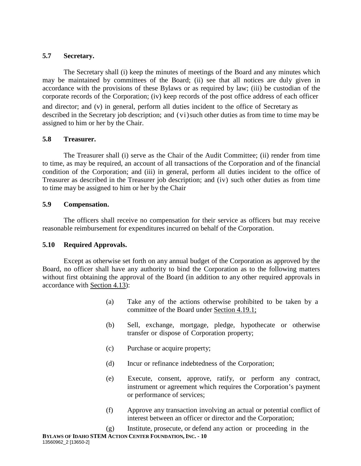# **5.7 Secretary.**

The Secretary shall (i) keep the minutes of meetings of the Board and any minutes which may be maintained by committees of the Board; (ii) see that all notices are duly given in accordance with the provisions of these Bylaws or as required by law; (iii) be custodian of the corporate records of the Corporation; (iv) keep records of the post office address of each officer and director; and (v) in general, perform all duties incident to the office of Secretary as described in the Secretary job description; and (vi)such other duties as from time to time may be assigned to him or her by the Chair.

## **5.8 Treasurer.**

The Treasurer shall (i) serve as the Chair of the Audit Committee; (ii) render from time to time, as may be required, an account of all transactions of the Corporation and of the financial condition of the Corporation; and (iii) in general, perform all duties incident to the office of Treasurer as described in the Treasurer job description; and (iv) such other duties as from time to time may be assigned to him or her by the Chair

## **5.9 Compensation.**

The officers shall receive no compensation for their service as officers but may receive reasonable reimbursement for expenditures incurred on behalf of the Corporation.

# **5.10 Required Approvals.**

Except as otherwise set forth on any annual budget of the Corporation as approved by the Board, no officer shall have any authority to bind the Corporation as to the following matters without first obtaining the approval of the Board (in addition to any other required approvals in accordance with Section 4.13):

- (a) Take any of the actions otherwise prohibited to be taken by a committee of the Board under Section 4.19.1;
- (b) Sell, exchange, mortgage, pledge, hypothecate or otherwise transfer or dispose of Corporation property;
- (c) Purchase or acquire property;
- (d) Incur or refinance indebtedness of the Corporation;
- (e) Execute, consent, approve, ratify, or perform any contract, instrument or agreement which requires the Corporation's payment or performance of services;
- (f) Approve any transaction involving an actual or potential conflict of interest between an officer or director and the Corporation;

**BYLAWS OF IDAHO STEM ACTION CENTER FOUNDATION, INC. - 10** 13560962\_2 [13650-2] (g) Institute, prosecute, or defend any action or proceeding in the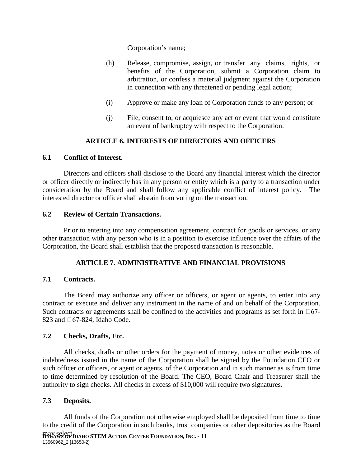Corporation's name;

- (h) Release, compromise, assign, or transfer any claims, rights, or benefits of the Corporation, submit a Corporation claim to arbitration, or confess a material judgment against the Corporation in connection with any threatened or pending legal action;
- (i) Approve or make any loan of Corporation funds to any person; or
- (j) File, consent to, or acquiesce any act or event that would constitute an event of bankruptcy with respect to the Corporation.

# **ARTICLE 6. INTERESTS OF DIRECTORS AND OFFICERS**

# **6.1 Conflict of Interest.**

Directors and officers shall disclose to the Board any financial interest which the director or officer directly or indirectly has in any person or entity which is a party to a transaction under consideration by the Board and shall follow any applicable conflict of interest policy. The interested director or officer shall abstain from voting on the transaction.

# **6.2 Review of Certain Transactions.**

Prior to entering into any compensation agreement, contract for goods or services, or any other transaction with any person who is in a position to exercise influence over the affairs of the Corporation, the Board shall establish that the proposed transaction is reasonable.

# **ARTICLE 7. ADMINISTRATIVE AND FINANCIAL PROVISIONS**

# **7.1 Contracts.**

The Board may authorize any officer or officers, or agent or agents, to enter into any contract or execute and deliver any instrument in the name of and on behalf of the Corporation. Such contracts or agreements shall be confined to the activities and programs as set forth in  $\Box 67-$ 823 and  $\Box$ 67-824, Idaho Code.

# **7.2 Checks, Drafts, Etc.**

All checks, drafts or other orders for the payment of money, notes or other evidences of indebtedness issued in the name of the Corporation shall be signed by the Foundation CEO or such officer or officers, or agent or agents, of the Corporation and in such manner as is from time to time determined by resolution of the Board. The CEO, Board Chair and Treasurer shall the authority to sign checks. All checks in excess of \$10,000 will require two signatures.

# **7.3 Deposits.**

All funds of the Corporation not otherwise employed shall be deposited from time to time to the credit of the Corporation in such banks, trust companies or other depositories as the Board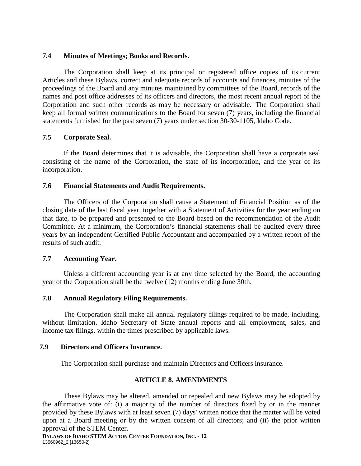#### **7.4 Minutes of Meetings; Books and Records.**

The Corporation shall keep at its principal or registered office copies of its current Articles and these Bylaws, correct and adequate records of accounts and finances, minutes of the proceedings of the Board and any minutes maintained by committees of the Board, records of the names and post office addresses of its officers and directors, the most recent annual report of the Corporation and such other records as may be necessary or advisable. The Corporation shall keep all formal written communications to the Board for seven (7) years, including the financial statements furnished for the past seven (7) years under section 30-30-1105, Idaho Code.

#### **7.5 Corporate Seal.**

If the Board determines that it is advisable, the Corporation shall have a corporate seal consisting of the name of the Corporation, the state of its incorporation, and the year of its incorporation.

#### **7.6 Financial Statements and Audit Requirements.**

The Officers of the Corporation shall cause a Statement of Financial Position as of the closing date of the last fiscal year, together with a Statement of Activities for the year ending on that date, to be prepared and presented to the Board based on the recommendation of the Audit Committee. At a minimum, the Corporation's financial statements shall be audited every three years by an independent Certified Public Accountant and accompanied by a written report of the results of such audit.

#### **7.7 Accounting Year.**

Unless a different accounting year is at any time selected by the Board, the accounting year of the Corporation shall be the twelve (12) months ending June 30th.

#### **7.8 Annual Regulatory Filing Requirements.**

The Corporation shall make all annual regulatory filings required to be made, including, without limitation, Idaho Secretary of State annual reports and all employment, sales, and income tax filings, within the times prescribed by applicable laws.

#### **7.9 Directors and Officers Insurance.**

The Corporation shall purchase and maintain Directors and Officers insurance.

### **ARTICLE 8. AMENDMENTS**

These Bylaws may be altered, amended or repealed and new Bylaws may be adopted by the affirmative vote of: (i) a majority of the number of directors fixed by or in the manner provided by these Bylaws with at least seven (7) days' written notice that the matter will be voted upon at a Board meeting or by the written consent of all directors; and (ii) the prior written approval of the STEM Center.